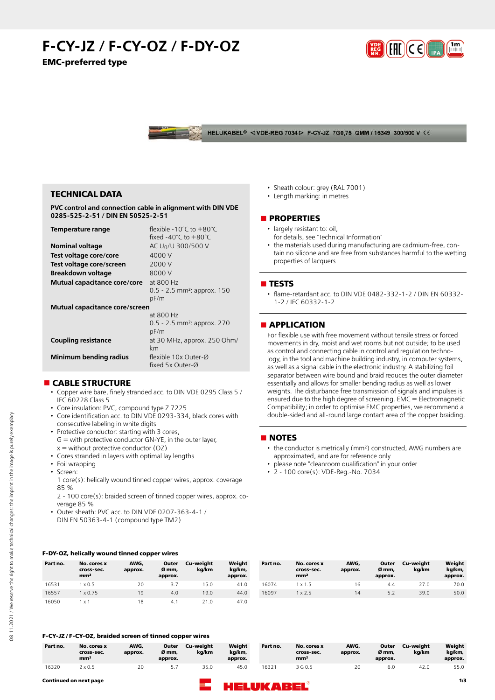# **F-CY-JZ / F-CY-OZ / F-DY-OZ EMC-preferred type**



HELUKABEL<sup>®</sup> <VDE-REG 7034 D F-CY-JZ 7G0,75 QMM / 16349 300/500 V CE

# **TECHNICAL DATA**

**PVC control and connection cable in alignment with DIN VDE 0285-525-2-51 / DIN EN 50525-2-51**

| Temperature range              | flexible -10°C to +80°C                   |
|--------------------------------|-------------------------------------------|
|                                | fixed $-40^{\circ}$ C to $+80^{\circ}$ C  |
| <b>Nominal voltage</b>         | AC U <sub>0</sub> /U 300/500 V            |
| Test voltage core/core         | 4000 V                                    |
| Test voltage core/screen       | 2000 V                                    |
| Breakdown voltage              | 8000 V                                    |
| Mutual capacitance core/core   | at 800 Hz                                 |
|                                | $0.5 - 2.5$ mm <sup>2</sup> : approx. 150 |
|                                | pF/m                                      |
| Mutual capacitance core/screen |                                           |
|                                | at 800 Hz                                 |
|                                | $0.5 - 2.5$ mm <sup>2</sup> : approx. 270 |
|                                | pF/m                                      |
| <b>Coupling resistance</b>     | at 30 MHz, approx. 250 Ohm/               |
|                                | km                                        |
| <b>Minimum bending radius</b>  | flexible 10x Outer-Ø                      |
|                                | fixed 5x Outer-Ø                          |

# **n** CABLE STRUCTURE

- Copper wire bare, finely stranded acc. to DIN VDE 0295 Class 5 / IEC 60228 Class 5
- Core insulation: PVC, compound type Z 7225
- Core identification acc. to DIN VDE 0293-334, black cores with consecutive labeling in white digits
- Protective conductor: starting with 3 cores,
- G = with protective conductor GN-YE, in the outer layer,  $x =$  without protective conductor (OZ)
- Cores stranded in layers with optimal lay lengths
- Foil wrapping
- Screen:
	- 1 core(s): helically wound tinned copper wires, approx. coverage 85 %
	- 2 100 core(s): braided screen of tinned copper wires, approx. coverage 85 %
- Outer sheath: PVC acc. to DIN VDE 0207-363-4-1 / DIN EN 50363-4-1 (compound type TM2)

#### **F-DY-OZ, helically wound tinned copper wires**

|          | ___                                          | .               | .                         |                    |                             |          |                                              |                 |                           |                    |                             |
|----------|----------------------------------------------|-----------------|---------------------------|--------------------|-----------------------------|----------|----------------------------------------------|-----------------|---------------------------|--------------------|-----------------------------|
| Part no. | No. cores x<br>cross-sec.<br>mm <sup>2</sup> | AWG,<br>approx. | Outer<br>Ø mm.<br>approx. | Cu-weight<br>kg/km | Weight<br>kg/km,<br>approx. | Part no. | No. cores x<br>cross-sec.<br>mm <sup>2</sup> | AWG,<br>approx. | Outer<br>Ø mm.<br>approx. | Cu-weight<br>ka/km | Weight<br>kg/km,<br>approx. |
| 16531    | x 0.5                                        | 20              | 3.7                       | 15.0               | 41.0                        | 16074    | x 1.5                                        | 16              | 4.4                       | 27.0               | 70.0                        |
| 16557    | x 0.75                                       | 19              | 4.0                       | 19.0               | 44.0                        | 16097    | x 2.5                                        | 14              | 5.2                       | 39.0               | 50.0                        |
| 16050    | . x 1                                        | 18              | -4.                       | 21.0               | 47.0                        |          |                                              |                 |                           |                    |                             |

#### **F-CY-JZ / F-CY-OZ, braided screen of tinned copper wires**

| Part no. | No. cores x<br>cross-sec.<br>mm <sup>2</sup> | AWG.<br>approx. | Outer<br>Ø mm.<br>approx. | Cu-weight<br>ka/km | Weight<br>ka/km.<br>approx. | Part no. | No. cores x<br>cross-sec.<br>mm <sup>2</sup> | AWG,<br>approx. | Outer<br>Ø mm.<br>approx. | Cu-weiaht<br>ka/km | Weiaht<br>kg/km,<br>approx. |
|----------|----------------------------------------------|-----------------|---------------------------|--------------------|-----------------------------|----------|----------------------------------------------|-----------------|---------------------------|--------------------|-----------------------------|
| 16320    | $2 \times 0.5$                               | 20              |                           | 35.0               | 45.0                        | 16321    | 3 G 0.5                                      | 20              | 6.0                       | 42.0               | 55.0                        |



- Sheath colour: grey (RAL 7001)
- Length marking: in metres

#### **nPROPERTIES**

- largely resistant to: oil. for details, see "Technical Information"
- the materials used during manufacturing are cadmium-free, con-
- tain no silicone and are free from substances harmful to the wetting properties of lacquers

# n **TESTS**

• flame-retardant acc. to DIN VDE 0482-332-1-2 / DIN EN 60332- 1-2 / IEC 60332-1-2

# **n** APPLICATION

For flexible use with free movement without tensile stress or forced movements in dry, moist and wet rooms but not outside; to be used as control and connecting cable in control and regulation technology, in the tool and machine building industry, in computer systems, as well as a signal cable in the electronic industry. A stabilizing foil separator between wire bound and braid reduces the outer diameter essentially and allows for smaller bending radius as well as lower weights. The disturbance free transmission of signals and impulses is ensured due to the high degree of screening. EMC = Electromagnetic Compatibility; in order to optimise EMC properties, we recommend a double-sided and all-round large contact area of the copper braiding.

## **NOTES**

- the conductor is metrically (mm²) constructed, AWG numbers are approximated, and are for reference only
- please note "cleanroom qualification" in your order
- 2 100 core(s): VDE-Reg.-No. 7034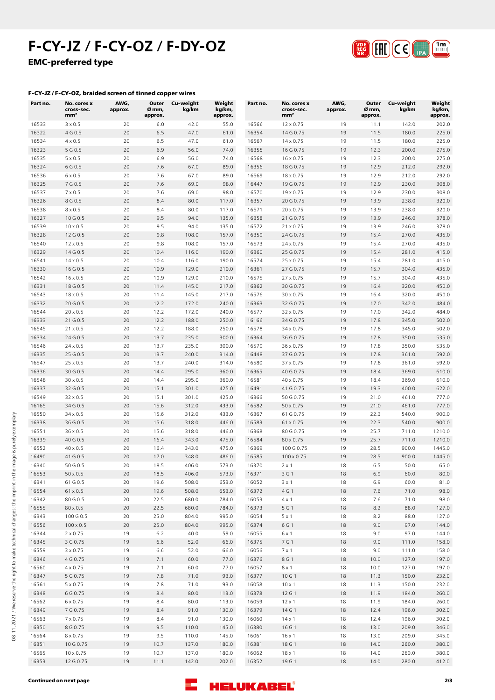# **F-CY-JZ / F-CY-OZ / F-DY-OZ EMC-preferred type**



## **F-CY-JZ / F-CY-OZ, braided screen of tinned copper wires**

| Part no.       | No. cores x<br>cross-sec.<br>mm <sup>2</sup> | AWG,<br>approx. | Outer<br>Ø mm,<br>approx. | Cu-weight<br>kg/km | Weight<br>kg/km,<br>approx. | Part no.       | No. cores x<br>cross-sec.<br>mm <sup>2</sup> | AWG,<br>approx. | Outer<br>Ø mm,<br>approx. | Cu-weight<br>kg/km | Weight<br>kg/km,<br>approx. |
|----------------|----------------------------------------------|-----------------|---------------------------|--------------------|-----------------------------|----------------|----------------------------------------------|-----------------|---------------------------|--------------------|-----------------------------|
| 16533          | $3 \times 0.5$                               | 20              | 6.0                       | 42.0               | 55.0                        | 16566          | $12 \times 0.75$                             | 19              | 11.1                      | 142.0              | 202.0                       |
| 16322          | 4 G 0.5                                      | 20              | 6.5                       | 47.0               | 61.0                        | 16354          | 14 G 0.75                                    | 19              | 11.5                      | 180.0              | 225.0                       |
| 16534          | $4 \times 0.5$                               | 20              | 6.5                       | 47.0               | 61.0                        | 16567          | $14 \times 0.75$                             | 19              | 11.5                      | 180.0              | 225.0                       |
| 16323          | 5 G 0.5                                      | 20              | 6.9                       | 56.0               | 74.0                        | 16355          | 16 G 0.75                                    | 19              | 12.3                      | 200.0              | 275.0                       |
| 16535          | $5 \times 0.5$                               | 20              | 6.9                       | 56.0               | 74.0                        | 16568          | 16 x 0.75                                    | 19              | 12.3                      | 200.0              | 275.0                       |
| 16324          | 6 G 0.5                                      | 20              | 7.6                       | 67.0               | 89.0                        | 16356          | 18 G 0.75                                    | 19              | 12.9                      | 212.0              | 292.0                       |
| 16536          | $6 \times 0.5$                               | 20              | 7.6                       | 67.0               | 89.0                        | 16569          | 18 x 0.75                                    | 19              | 12.9                      | 212.0              | 292.0                       |
| 16325          | 7 G 0.5                                      | 20              | 7.6                       | 69.0               | 98.0                        | 16447          | 19 G 0.75                                    | 19              | 12.9                      | 230.0              | 308.0                       |
| 16537<br>16326 | $7 \times 0.5$<br>8 G 0.5                    | 20<br>20        | 7.6<br>8.4                | 69.0<br>80.0       | 98.0<br>117.0               | 16570<br>16357 | $19 \times 0.75$<br>20 G 0.75                | 19<br>19        | 12.9<br>13.9              | 230.0<br>238.0     | 308.0<br>320.0              |
| 16538          | $8 \times 0.5$                               | 20              | 8.4                       | 80.0               | 117.0                       | 16571          | $20 \times 0.75$                             | 19              | 13.9                      | 238.0              | 320.0                       |
| 16327          | 10 G 0.5                                     | 20              | 9.5                       | 94.0               | 135.0                       | 16358          | 21 G 0.75                                    | 19              | 13.9                      | 246.0              | 378.0                       |
| 16539          | $10 \times 0.5$                              | 20              | 9.5                       | 94.0               | 135.0                       | 16572          | $21 \times 0.75$                             | 19              | 13.9                      | 246.0              | 378.0                       |
| 16328          | 12 G 0.5                                     | 20              | 9.8                       | 108.0              | 157.0                       | 16359          | 24 G 0.75                                    | 19              | 15.4                      | 270.0              | 435.0                       |
| 16540          | $12 \times 0.5$                              | 20              | 9.8                       | 108.0              | 157.0                       | 16573          | 24 x 0.75                                    | 19              | 15.4                      | 270.0              | 435.0                       |
| 16329          | 14 G 0.5                                     | 20              | 10.4                      | 116.0              | 190.0                       | 16360          | 25 G 0.75                                    | 19              | 15.4                      | 281.0              | 415.0                       |
| 16541          | $14 \times 0.5$                              | 20              | 10.4                      | 116.0              | 190.0                       | 16574          | 25 x 0.75                                    | 19              | 15.4                      | 281.0              | 415.0                       |
| 16330          | 16 G 0.5                                     | 20              | 10.9                      | 129.0              | 210.0                       | 16361          | 27 G 0.75                                    | 19              | 15.7                      | 304.0              | 435.0                       |
| 16542          | $16 \times 0.5$                              | 20              | 10.9                      | 129.0              | 210.0                       | 16575          | 27 x 0.75                                    | 19              | 15.7                      | 304.0              | 435.0                       |
| 16331          | 18 G 0.5                                     | 20              | 11.4                      | 145.0              | 217.0                       | 16362          | 30 G 0.75                                    | 19              | 16.4                      | 320.0              | 450.0                       |
| 16543          | $18 \times 0.5$                              | 20              | 11.4                      | 145.0              | 217.0                       | 16576          | 30 x 0.75                                    | 19              | 16.4                      | 320.0              | 450.0                       |
| 16332          | 20 G 0.5                                     | 20              | 12.2                      | 172.0              | 240.0                       | 16363          | 32 G 0.75                                    | 19              | 17.0                      | 342.0              | 484.0                       |
| 16544          | $20 \times 0.5$                              | 20              | 12.2                      | 172.0              | 240.0                       | 16577          | 32 x 0.75                                    | 19              | 17.0                      | 342.0              | 484.0                       |
| 16333          | 21 G 0.5                                     | 20              | 12.2                      | 188.0              | 250.0                       | 16166          | 34 G 0.75                                    | 19              | 17.8                      | 345.0              | 502.0                       |
| 16545          | $21 \times 0.5$                              | 20              | 12.2                      | 188.0              | 250.0                       | 16578          | 34 x 0.75                                    | 19              | 17.8                      | 345.0              | 502.0                       |
| 16334          | 24 G 0.5                                     | 20              | 13.7                      | 235.0              | 300.0                       | 16364          | 36 G 0.75                                    | 19              | 17.8                      | 350.0              | 535.0                       |
| 16546          | $24 \times 0.5$                              | 20              | 13.7                      | 235.0              | 300.0                       | 16579          | 36 x 0.75                                    | 19              | 17.8                      | 350.0              | 535.0                       |
| 16335          | 25 G 0.5                                     | 20              | 13.7                      | 240.0              | 314.0                       | 16448          | 37 G 0.75                                    | 19              | 17.8                      | 361.0              | 592.0                       |
| 16547          | $25 \times 0.5$                              | 20              | 13.7                      | 240.0              | 314.0                       | 16580          | 37 x 0.75                                    | 19              | 17.8                      | 361.0              | 592.0                       |
| 16336          | 30 G 0.5                                     | 20              | 14.4                      | 295.0              | 360.0                       | 16365          | 40 G 0.75                                    | 19              | 18.4                      | 369.0              | 610.0                       |
| 16548          | $30 \times 0.5$                              | 20              | 14.4                      | 295.0              | 360.0                       | 16581          | 40 x 0.75                                    | 19              | 18.4                      | 369.0              | 610.0                       |
| 16337          | 32 G 0.5                                     | 20              | 15.1                      | 301.0              | 425.0                       | 16491          | 41 G 0.75                                    | 19              | 19.3                      | 400.0              | 622.0                       |
| 16549          | 32 x 0.5                                     | 20              | 15.1                      | 301.0              | 425.0                       | 16366          | 50 G 0.75                                    | 19              | 21.0                      | 461.0              | 777.0                       |
| 16165          | 34 G 0.5                                     | 20              | 15.6                      | 312.0              | 433.0                       | 16582          | $50 \times 0.75$                             | 19              | 21.0                      | 461.0              | 777.0                       |
| 16550          | 34 x 0.5                                     | 20              | 15.6                      | 312.0              | 433.0                       | 16367          | 61 G 0.75                                    | 19              | 22.3                      | 540.0              | 900.0                       |
| 16338          | 36 G 0.5                                     | 20              | 15.6                      | 318.0              | 446.0                       | 16583          | 61 x 0.75                                    | 19              | 22.3                      | 540.0              | 900.0                       |
| 16551          | 36 x 0.5                                     | 20              | 15.6                      | 318.0              | 446.0                       | 16368          | 80 G 0.75                                    | 19              | 25.7                      | 711.0              | 1210.0                      |
| 16339          | 40 G 0.5                                     | 20              | 16.4                      | 343.0              | 475.0<br>475.0              | 16584          | 80 x 0.75                                    | 19<br>19        | 25.7                      | 711.0<br>900.0     | 1210.0<br>1445.0            |
| 16552<br>16490 | $40 \times 0.5$<br>41 G 0.5                  | 20<br>20        | 16.4<br>17.0              | 343.0<br>348.0     | 486.0                       | 16369<br>16585 | 100 G 0.75<br>$100 \times 0.75$              | 19              | 28.5<br>28.5              | 900.0              | 1445.0                      |
| 16340          | 50 G 0.5                                     | 20              | 18.5                      | 406.0              | 573.0                       | 16370          | $2 \times 1$                                 | 18              | 6.5                       | 50.0               | 65.0                        |
| 16553          | $50 \times 0.5$                              | 20              | 18.5                      | 406.0              | 573.0                       | 16371          | 3 G 1                                        | 18              | 6.9                       | 60.0               | 80.0                        |
| 16341          | 61 G 0.5                                     | 20              | 19.6                      | 508.0              | 653.0                       | 16052          | $3 \times 1$                                 | 18              | 6.9                       | 60.0               | 81.0                        |
| 16554          | 61 x 0.5                                     | 20              | 19.6                      | 508.0              | 653.0                       | 16372          | 4 G 1                                        | 18              | $7.6$                     | 71.0               | 98.0                        |
| 16342          | 80 G 0.5                                     | 20              | 22.5                      | 680.0              | 784.0                       | 16053          | 4 x 1                                        | 18              | 7.6                       | 71.0               | 98.0                        |
| 16555          | 80 x 0.5                                     | 20              | 22.5                      | 680.0              | 784.0                       | 16373          | 5 G 1                                        | 18              | $8.2$                     | 88.0               | 127.0                       |
| 16343          | 100 G 0.5                                    | 20              | 25.0                      | 804.0              | 995.0                       | 16054          | 5 x 1                                        | 18              | 8.2                       | 88.0               | 127.0                       |
| 16556          | $100 \times 0.5$                             | 20              | 25.0                      | 804.0              | 995.0                       | 16374          | 6 G 1                                        | 18              | 9.0                       | 97.0               | 144.0                       |
| 16344          | $2 \times 0.75$                              | 19              | 6.2                       | 40.0               | 59.0                        | 16055          | 6 x 1                                        | 18              | 9.0                       | 97.0               | 144.0                       |
| 16345          | 3 G 0.75                                     | 19              | 6.6                       | 52.0               | 66.0                        | 16375          | 7 G 1                                        | 18              | 9.0                       | 111.0              | 158.0                       |
| 16559          | 3 x 0.75                                     | 19              | 6.6                       | 52.0               | 66.0                        | 16056          | $7 \times 1$                                 | 18              | 9.0                       | 111.0              | 158.0                       |
| 16346          | 4 G 0.75                                     | 19              | 7.1                       | 60.0               | 77.0                        | 16376          | 8 G 1                                        | 18              | 10.0                      | 127.0              | 197.0                       |
| 16560          | 4 x 0.75                                     | 19              | 7.1                       | 60.0               | 77.0                        | 16057          | 8 x 1                                        | 18              | 10.0                      | 127.0              | 197.0                       |
| 16347          | 5 G 0.75                                     | 19              | 7.8                       | 71.0               | 93.0                        | 16377          | 10 G 1                                       | 18              | 11.3                      | 150.0              | 232.0                       |
| 16561          | 5 x 0.75                                     | 19              | 7.8                       | 71.0               | 93.0                        | 16058          | $10 \times 1$                                | 18              | 11.3                      | 150.0              | 232.0                       |
| 16348          | 6 G 0.75                                     | 19              | 8.4                       | 80.0               | 113.0                       | 16378          | 12 G 1                                       | 18              | 11.9                      | 184.0              | 260.0                       |
| 16562          | 6 x 0.75                                     | 19              | 8.4                       | 80.0               | 113.0                       | 16059          | $12 \times 1$                                | 18              | 11.9                      | 184.0              | 260.0                       |
| 16349          | 7 G 0.75                                     | 19              | 8.4                       | 91.0               | 130.0                       | 16379          | 14 G 1                                       | 18              | 12.4                      | 196.0              | 302.0                       |
| 16563          | 7 x 0.75                                     | 19              | 8.4                       | 91.0               | 130.0                       | 16060          | $14 \times 1$                                | 18              | 12.4                      | 196.0              | 302.0                       |
| 16350          | 8 G 0.75                                     | 19              | 9.5                       | 110.0              | 145.0                       | 16380          | 16 G 1                                       | 18              | 13.0                      | 209.0              | 346.0                       |
| 16564          | $8 \times 0.75$                              | 19              | 9.5                       | 110.0              | 145.0                       | 16061          | $16 \times 1$                                | 18              | 13.0                      | 209.0              | 345.0                       |
| 16351          | 10 G 0.75                                    | 19              | 10.7                      | 137.0              | 180.0                       | 16381          | 18 G 1                                       | 18              | 14.0                      | 260.0              | 380.0                       |
| 16565          | $10 \times 0.75$                             | 19              | 10.7                      | 137.0              | 180.0                       | 16062          | $18 \times 1$                                | 18              | 14.0                      | 260.0              | 380.0                       |
| 16353          | 12 G 0.75                                    | 19              | 11.1                      | 142.0              | 202.0                       | 16352          | 19 G 1                                       | 18              | 14.0                      | 280.0              | 412.0                       |